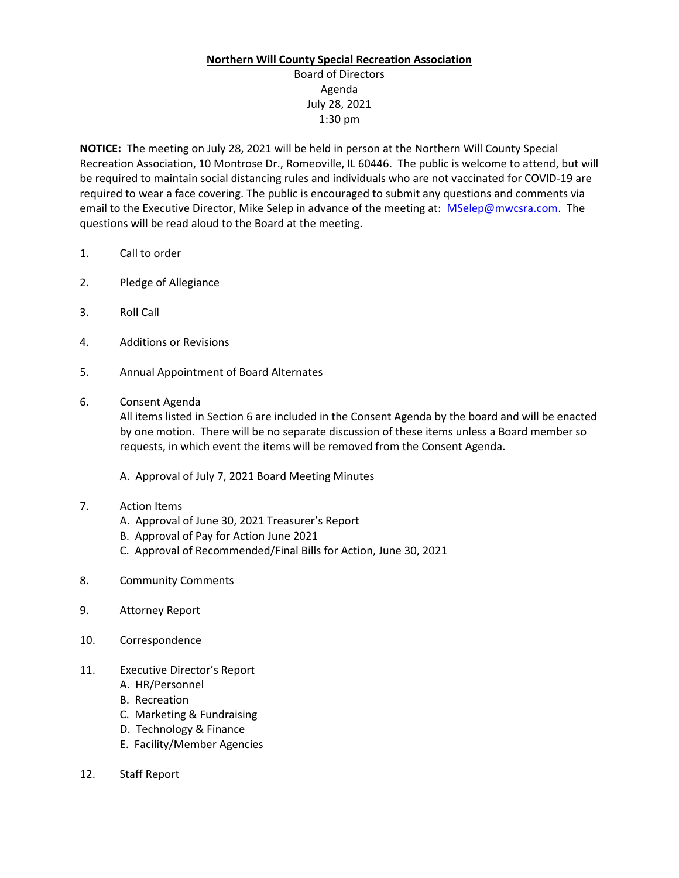## **Northern Will County Special Recreation Association**

## Board of Directors Agenda July 28, 2021 1:30 pm

**NOTICE:** The meeting on July 28, 2021 will be held in person at the Northern Will County Special Recreation Association, 10 Montrose Dr., Romeoville, IL 60446. The public is welcome to attend, but will be required to maintain social distancing rules and individuals who are not vaccinated for COVID-19 are required to wear a face covering. The public is encouraged to submit any questions and comments via email to the Executive Director, Mike Selep in advance of the meeting at: [MSelep@mwcsra.com.](mailto:MSelep@mwcsra.com) The questions will be read aloud to the Board at the meeting.

- 1. Call to order
- 2. Pledge of Allegiance
- 3. Roll Call
- 4. Additions or Revisions
- 5. Annual Appointment of Board Alternates
- 6. Consent Agenda

All items listed in Section 6 are included in the Consent Agenda by the board and will be enacted by one motion. There will be no separate discussion of these items unless a Board member so requests, in which event the items will be removed from the Consent Agenda.

A. Approval of July 7, 2021 Board Meeting Minutes

- 7. Action Items
	- A. Approval of June 30, 2021 Treasurer's Report
	- B. Approval of Pay for Action June 2021
	- C. Approval of Recommended/Final Bills for Action, June 30, 2021
- 8. Community Comments
- 9. Attorney Report
- 10. Correspondence
- 11. Executive Director's Report
	- A. HR/Personnel
	- B. Recreation
	- C. Marketing & Fundraising
	- D. Technology & Finance
	- E. Facility/Member Agencies
- 12. Staff Report